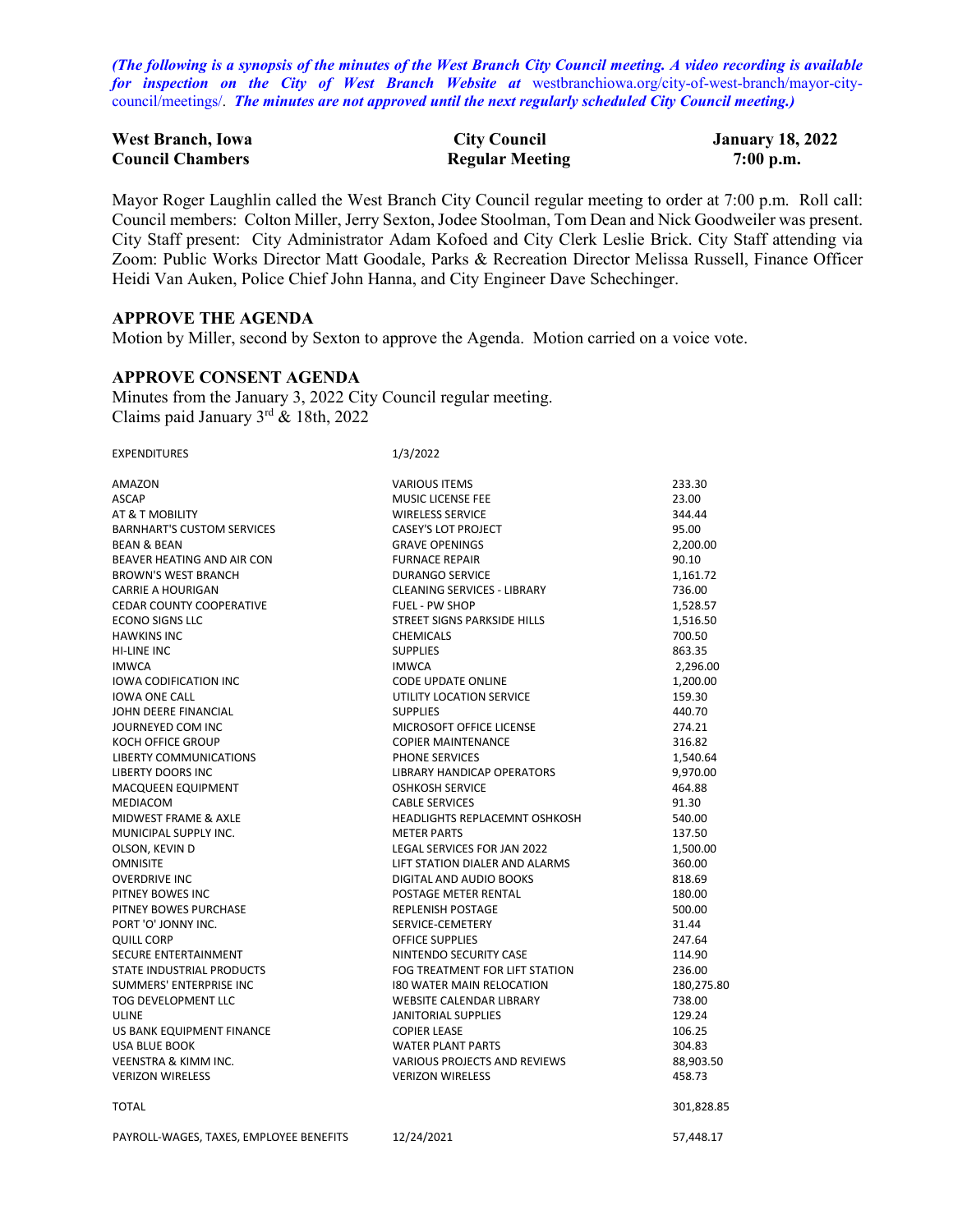*(The following is a synopsis of the minutes of the West Branch City Council meeting. A video recording is available for inspection on the City of West Branch Website at* [westbranchiowa.org/city-of-west-branch/mayor-city](https://westbranchiowa.org/city-of-west-branch/mayor-city-council/meetings/)[council/meetings/.](https://westbranchiowa.org/city-of-west-branch/mayor-city-council/meetings/) *The minutes are not approved until the next regularly scheduled City Council meeting.)*

| <b>West Branch, Iowa</b> | <b>City Council</b>    | <b>January 18, 2022</b> |
|--------------------------|------------------------|-------------------------|
| <b>Council Chambers</b>  | <b>Regular Meeting</b> | $7:00$ p.m.             |

Mayor Roger Laughlin called the West Branch City Council regular meeting to order at 7:00 p.m. Roll call: Council members: Colton Miller, Jerry Sexton, Jodee Stoolman, Tom Dean and Nick Goodweiler was present. City Staff present: City Administrator Adam Kofoed and City Clerk Leslie Brick. City Staff attending via Zoom: Public Works Director Matt Goodale, Parks & Recreation Director Melissa Russell, Finance Officer Heidi Van Auken, Police Chief John Hanna, and City Engineer Dave Schechinger.

# **APPROVE THE AGENDA**

Motion by Miller, second by Sexton to approve the Agenda. Motion carried on a voice vote.

# **APPROVE CONSENT AGENDA**

EXPENDITURES 1/3/2022

Minutes from the January 3, 2022 City Council regular meeting. Claims paid January 3rd & 18th, 2022

| AMAZON                                  | <b>VARIOUS ITEMS</b>               | 233.30     |
|-----------------------------------------|------------------------------------|------------|
| <b>ASCAP</b>                            | MUSIC LICENSE FEE                  | 23.00      |
| AT & T MOBILITY                         | <b>WIRELESS SERVICE</b>            | 344.44     |
| <b>BARNHART'S CUSTOM SERVICES</b>       | CASEY'S LOT PROJECT                | 95.00      |
| <b>BEAN &amp; BEAN</b>                  | <b>GRAVE OPENINGS</b>              | 2,200.00   |
| BEAVER HEATING AND AIR CON              | <b>FURNACE REPAIR</b>              | 90.10      |
| <b>BROWN'S WEST BRANCH</b>              | <b>DURANGO SERVICE</b>             | 1,161.72   |
| <b>CARRIE A HOURIGAN</b>                | <b>CLEANING SERVICES - LIBRARY</b> | 736.00     |
| <b>CEDAR COUNTY COOPERATIVE</b>         | <b>FUEL - PW SHOP</b>              | 1,528.57   |
| <b>ECONO SIGNS LLC</b>                  | STREET SIGNS PARKSIDE HILLS        | 1,516.50   |
| <b>HAWKINS INC</b>                      | <b>CHEMICALS</b>                   | 700.50     |
| <b>HI-LINE INC</b>                      | <b>SUPPLIES</b>                    | 863.35     |
| <b>IMWCA</b>                            | <b>IMWCA</b>                       | 2,296.00   |
| <b>IOWA CODIFICATION INC</b>            | <b>CODE UPDATE ONLINE</b>          | 1,200.00   |
| <b>IOWA ONE CALL</b>                    | UTILITY LOCATION SERVICE           | 159.30     |
| JOHN DEERE FINANCIAL                    | <b>SUPPLIES</b>                    | 440.70     |
| JOURNEYED COM INC                       | MICROSOFT OFFICE LICENSE           | 274.21     |
| <b>KOCH OFFICE GROUP</b>                | <b>COPIER MAINTENANCE</b>          | 316.82     |
| LIBERTY COMMUNICATIONS                  | PHONE SERVICES                     | 1,540.64   |
| <b>LIBERTY DOORS INC</b>                | LIBRARY HANDICAP OPERATORS         | 9,970.00   |
| MACQUEEN EQUIPMENT                      | <b>OSHKOSH SERVICE</b>             | 464.88     |
| MEDIACOM                                | <b>CABLE SERVICES</b>              | 91.30      |
| MIDWEST FRAME & AXLE                    | HEADLIGHTS REPLACEMNT OSHKOSH      | 540.00     |
| MUNICIPAL SUPPLY INC.                   | <b>METER PARTS</b>                 | 137.50     |
| OLSON, KEVIN D                          | LEGAL SERVICES FOR JAN 2022        | 1,500.00   |
| <b>OMNISITE</b>                         | LIFT STATION DIALER AND ALARMS     | 360.00     |
| <b>OVERDRIVE INC</b>                    | DIGITAL AND AUDIO BOOKS            | 818.69     |
| PITNEY BOWES INC                        | POSTAGE METER RENTAL               | 180.00     |
| PITNEY BOWES PURCHASE                   | <b>REPLENISH POSTAGE</b>           | 500.00     |
| PORT 'O' JONNY INC.                     | SERVICE-CEMETERY                   | 31.44      |
| <b>QUILL CORP</b>                       | <b>OFFICE SUPPLIES</b>             | 247.64     |
| SECURE ENTERTAINMENT                    | NINTENDO SECURITY CASE             | 114.90     |
| STATE INDUSTRIAL PRODUCTS               | FOG TREATMENT FOR LIFT STATION     | 236.00     |
| SUMMERS' ENTERPRISE INC.                | 180 WATER MAIN RELOCATION          | 180,275.80 |
| <b>TOG DEVELOPMENT LLC</b>              | <b>WEBSITE CALENDAR LIBRARY</b>    | 738.00     |
| <b>ULINE</b>                            | <b>JANITORIAL SUPPLIES</b>         | 129.24     |
| US BANK EQUIPMENT FINANCE               | <b>COPIER LEASE</b>                | 106.25     |
| <b>USA BLUE BOOK</b>                    | <b>WATER PLANT PARTS</b>           | 304.83     |
| <b>VEENSTRA &amp; KIMM INC.</b>         | VARIOUS PROJECTS AND REVIEWS       | 88,903.50  |
| <b>VERIZON WIRELESS</b>                 | <b>VERIZON WIRELESS</b>            | 458.73     |
| <b>TOTAL</b>                            |                                    | 301,828.85 |
| PAYROLL-WAGES, TAXES, EMPLOYEE BENEFITS | 12/24/2021                         | 57.448.17  |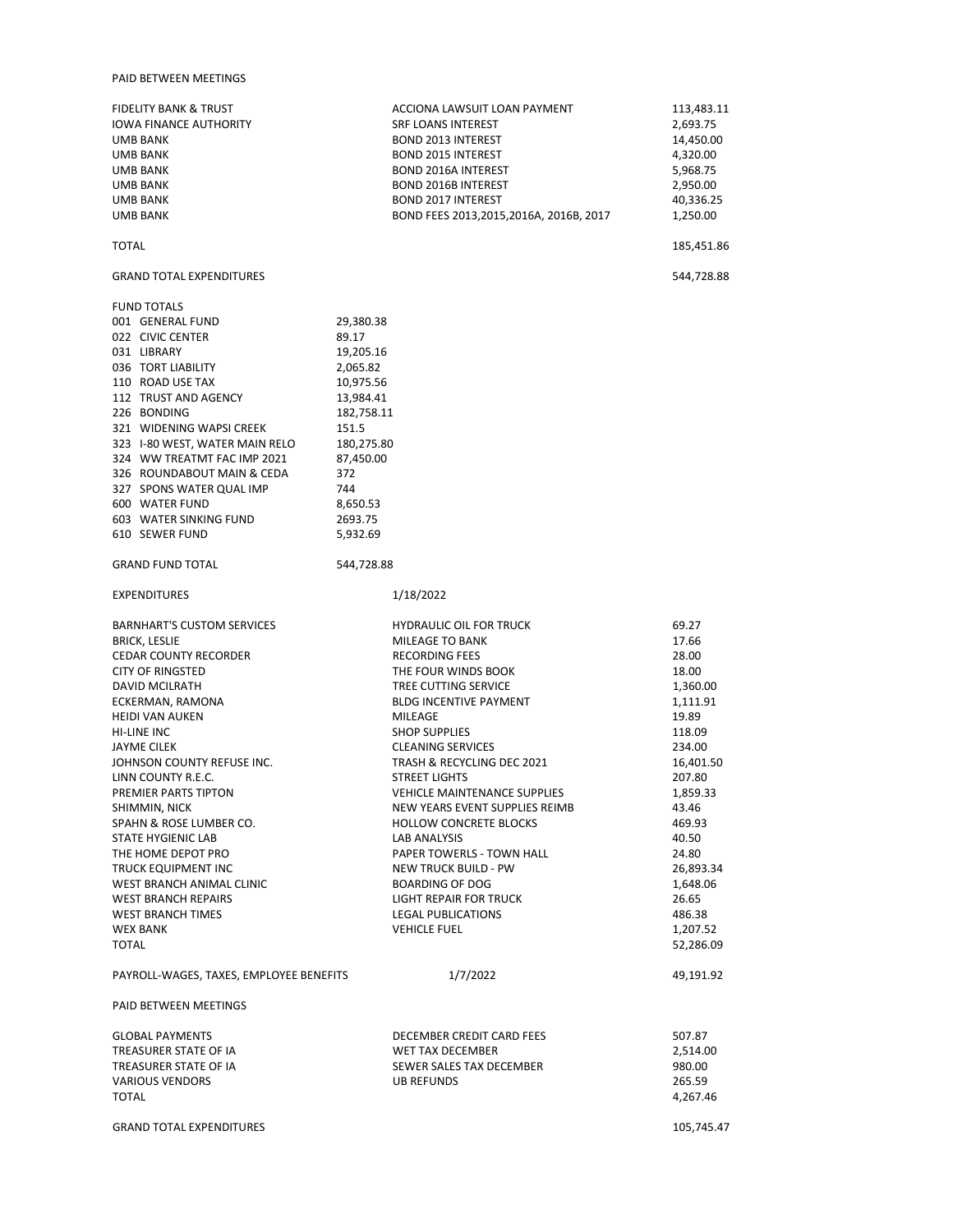#### PAID BETWEEN MEETINGS

FIDELITY BANK & TRUST THE STATE OF ACCIONA LAWSUIT LOAN PAYMENT THE STATE ACCIONAL ACCIONAL AND ACCIONAL LOAN PAYMENT THE STATE OF A STATE OF A STATE OF A STATE OF A STATE OF A STATE OF A STATE OF A STATE OF A STATE OF A S IOWA FINANCE AUTHORITY UMB BANK 14,450.00 UMB BANK BOND 2015 INTEREST 4,320.00 BOND 2016A INTEREST UMB BANK BOND 2016B INTEREST 2,950.00 UMB BANK BOND 2017 INTEREST 40,336.25 BOND FEES 2013,2015,2016A, 2016B, 2017

TOTAL 185,451.86

## GRAND TOTAL EXPENDITURES 544,728.88

| <b>FUND TOTALS</b>             |            |
|--------------------------------|------------|
| 001 GENERAL FUND               | 29,380.38  |
| 022 CIVIC CENTER               | 89.17      |
| 031 LIBRARY                    | 19,205.16  |
| 036 TORT LIABILITY             | 2,065.82   |
| 110 ROAD USE TAX               | 10,975.56  |
| 112 TRUST AND AGENCY           | 13,984.41  |
| 226 BONDING                    | 182,758.11 |
| 321 WIDENING WAPSI CREEK       | 151.5      |
| 323 I-80 WEST, WATER MAIN RELO | 180,275.80 |
| 324 WW TREATMT FAC IMP 2021    | 87.450.00  |
| 326 ROUNDABOUT MAIN & CEDA     | 372        |
| 327 SPONS WATER QUAL IMP       | 744        |
| 600 WATER FUND                 | 8,650.53   |
| 603 WATER SINKING FUND         | 2693.75    |
| 610 SEWER FUND                 | 5.932.69   |
|                                |            |
|                                |            |

## GRAND FUND TOTAL 544,728.88

#### EXPENDITURES 1/18/2022

| <b>HYDRAULIC OIL FOR TRUCK</b>      | 69.27                                                                                 |
|-------------------------------------|---------------------------------------------------------------------------------------|
| MILEAGE TO BANK                     | 17.66                                                                                 |
| <b>RECORDING FEES</b>               | 28.00                                                                                 |
| THE FOUR WINDS BOOK                 | 18.00                                                                                 |
| TREE CUTTING SERVICE                | 1,360.00                                                                              |
| <b>BLDG INCENTIVE PAYMENT</b>       | 1,111.91                                                                              |
| MILEAGE                             | 19.89                                                                                 |
| <b>SHOP SUPPLIES</b>                | 118.09                                                                                |
| <b>CLEANING SERVICES</b>            | 234.00                                                                                |
| TRASH & RECYCLING DEC 2021          | 16,401.50                                                                             |
| <b>STREET LIGHTS</b>                | 207.80                                                                                |
| <b>VEHICLE MAINTENANCE SUPPLIES</b> | 1,859.33                                                                              |
| NEW YEARS EVENT SUPPLIES REIMB      | 43.46                                                                                 |
| <b>HOLLOW CONCRETE BLOCKS</b>       | 469.93                                                                                |
| <b>LAB ANALYSIS</b>                 | 40.50                                                                                 |
| PAPER TOWERLS - TOWN HALL           | 24.80                                                                                 |
| <b>NEW TRUCK BUILD - PW</b>         | 26,893.34                                                                             |
| <b>BOARDING OF DOG</b>              | 1,648.06                                                                              |
| <b>LIGHT REPAIR FOR TRUCK</b>       | 26.65                                                                                 |
| <b>LEGAL PUBLICATIONS</b>           | 486.38                                                                                |
| <b>VEHICLE FUEL</b>                 | 1,207.52                                                                              |
|                                     | 52,286.09                                                                             |
|                                     |                                                                                       |
|                                     | 49.191.92                                                                             |
|                                     |                                                                                       |
|                                     | 507.87                                                                                |
|                                     | 2,514.00                                                                              |
| SEWER SALES TAX DECEMBER            | 980.00                                                                                |
|                                     | 265.59                                                                                |
|                                     | 4,267.46                                                                              |
|                                     |                                                                                       |
|                                     | 105,745.47                                                                            |
|                                     | 1/7/2022<br>DECEMBER CREDIT CARD FEES<br><b>WET TAX DECEMBER</b><br><b>UB REFUNDS</b> |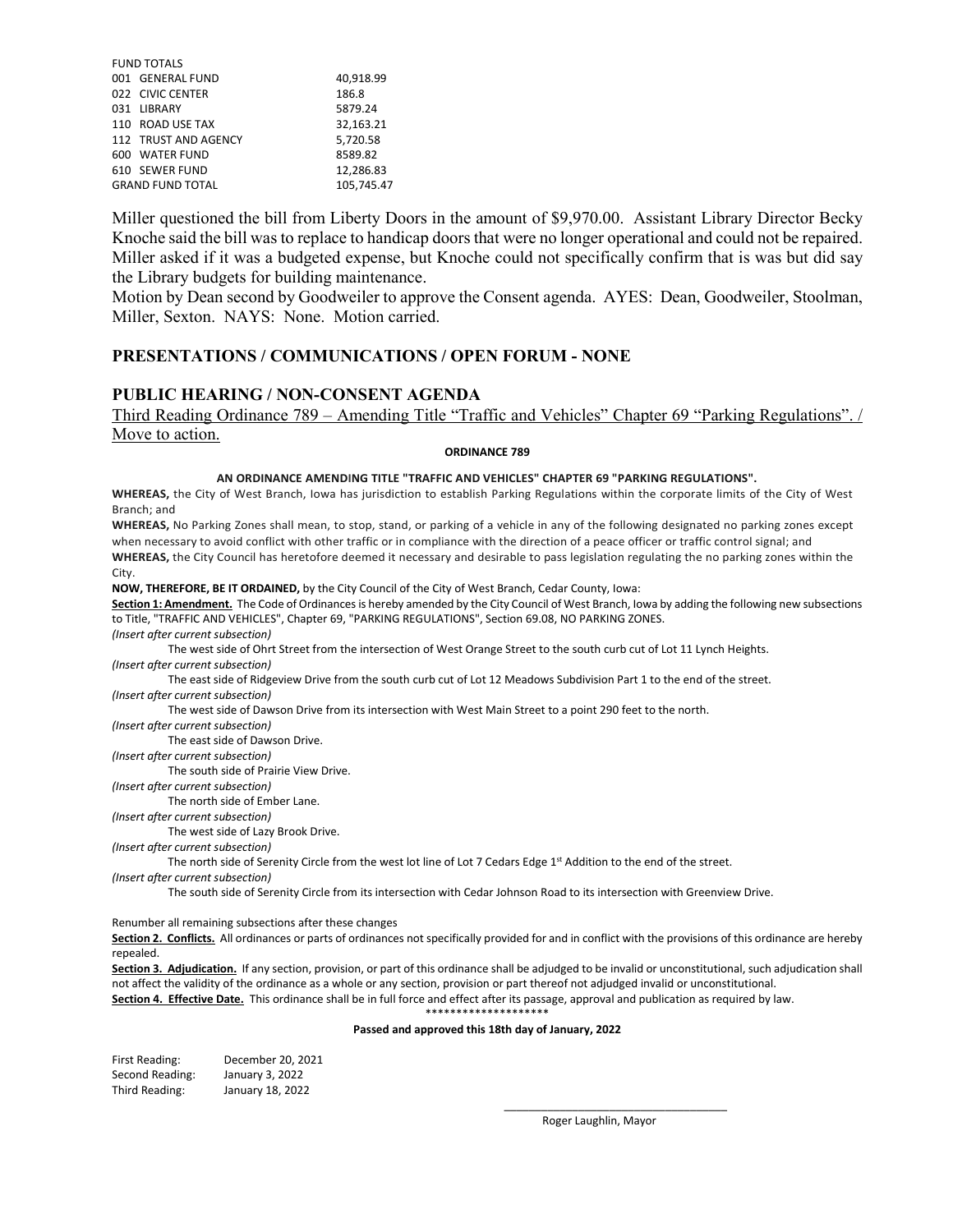| <b>FUND TOTALS</b>      |            |
|-------------------------|------------|
| 001 GENERAL FUND        | 40,918.99  |
| 022 CIVIC CENTER        | 186.8      |
| 031 LIBRARY             | 5879.24    |
| 110 ROAD USE TAX        | 32.163.21  |
| 112 TRUST AND AGENCY    | 5,720.58   |
| 600 WATER FUND          | 8589.82    |
| 610 SEWER FUND          | 12,286.83  |
| <b>GRAND FUND TOTAL</b> | 105.745.47 |

Miller questioned the bill from Liberty Doors in the amount of \$9,970.00. Assistant Library Director Becky Knoche said the bill was to replace to handicap doors that were no longer operational and could not be repaired. Miller asked if it was a budgeted expense, but Knoche could not specifically confirm that is was but did say the Library budgets for building maintenance.

Motion by Dean second by Goodweiler to approve the Consent agenda. AYES: Dean, Goodweiler, Stoolman, Miller, Sexton. NAYS: None. Motion carried.

## **PRESENTATIONS / COMMUNICATIONS / OPEN FORUM - NONE**

## **PUBLIC HEARING / NON-CONSENT AGENDA**

Third Reading Ordinance 789 – Amending Title "Traffic and Vehicles" Chapter 69 "Parking Regulations". / Move to action.

## **ORDINANCE 789**

#### **AN ORDINANCE AMENDING TITLE "TRAFFIC AND VEHICLES" CHAPTER 69 "PARKING REGULATIONS".**

**WHEREAS,** the City of West Branch, Iowa has jurisdiction to establish Parking Regulations within the corporate limits of the City of West Branch; and

**WHEREAS,** No Parking Zones shall mean, to stop, stand, or parking of a vehicle in any of the following designated no parking zones except when necessary to avoid conflict with other traffic or in compliance with the direction of a peace officer or traffic control signal; and **WHEREAS,** the City Council has heretofore deemed it necessary and desirable to pass legislation regulating the no parking zones within the City.

**NOW, THEREFORE, BE IT ORDAINED,** by the City Council of the City of West Branch, Cedar County, Iowa:

**Section 1: Amendment.** The Code of Ordinances is hereby amended by the City Council of West Branch, Iowa by adding the following new subsections to Title, "TRAFFIC AND VEHICLES", Chapter 69, "PARKING REGULATIONS", Section 69.08, NO PARKING ZONES.

*(Insert after current subsection)*

The west side of Ohrt Street from the intersection of West Orange Street to the south curb cut of Lot 11 Lynch Heights. *(Insert after current subsection)*

The east side of Ridgeview Drive from the south curb cut of Lot 12 Meadows Subdivision Part 1 to the end of the street. *(Insert after current subsection)*

The west side of Dawson Drive from its intersection with West Main Street to a point 290 feet to the north.

*(Insert after current subsection)*

The east side of Dawson Drive.

*(Insert after current subsection)*

The south side of Prairie View Drive.

*(Insert after current subsection)*

The north side of Ember Lane.

*(Insert after current subsection)*

The west side of Lazy Brook Drive.

*(Insert after current subsection)*

The north side of Serenity Circle from the west lot line of Lot 7 Cedars Edge 1<sup>st</sup> Addition to the end of the street.

*(Insert after current subsection)*

The south side of Serenity Circle from its intersection with Cedar Johnson Road to its intersection with Greenview Drive.

Renumber all remaining subsections after these changes

Section 2. Conflicts. All ordinances or parts of ordinances not specifically provided for and in conflict with the provisions of this ordinance are hereby repealed.

**Section 3. Adjudication.** If any section, provision, or part of this ordinance shall be adjudged to be invalid or unconstitutional, such adjudication shall not affect the validity of the ordinance as a whole or any section, provision or part thereof not adjudged invalid or unconstitutional.

**Section 4. Effective Date.** This ordinance shall be in full force and effect after its passage, approval and publication as required by law.

\*\*\*\*\*\*\*\*\*\*\*\*\*\*\*\*\*\*\*\*

#### **Passed and approved this 18th day of January, 2022**

| First Reading:  | December 20, 2021 |
|-----------------|-------------------|
| Second Reading: | January 3, 2022   |
| Third Reading:  | January 18, 2022  |

Roger Laughlin, Mayor

\_\_\_\_\_\_\_\_\_\_\_\_\_\_\_\_\_\_\_\_\_\_\_\_\_\_\_\_\_\_\_\_\_\_\_\_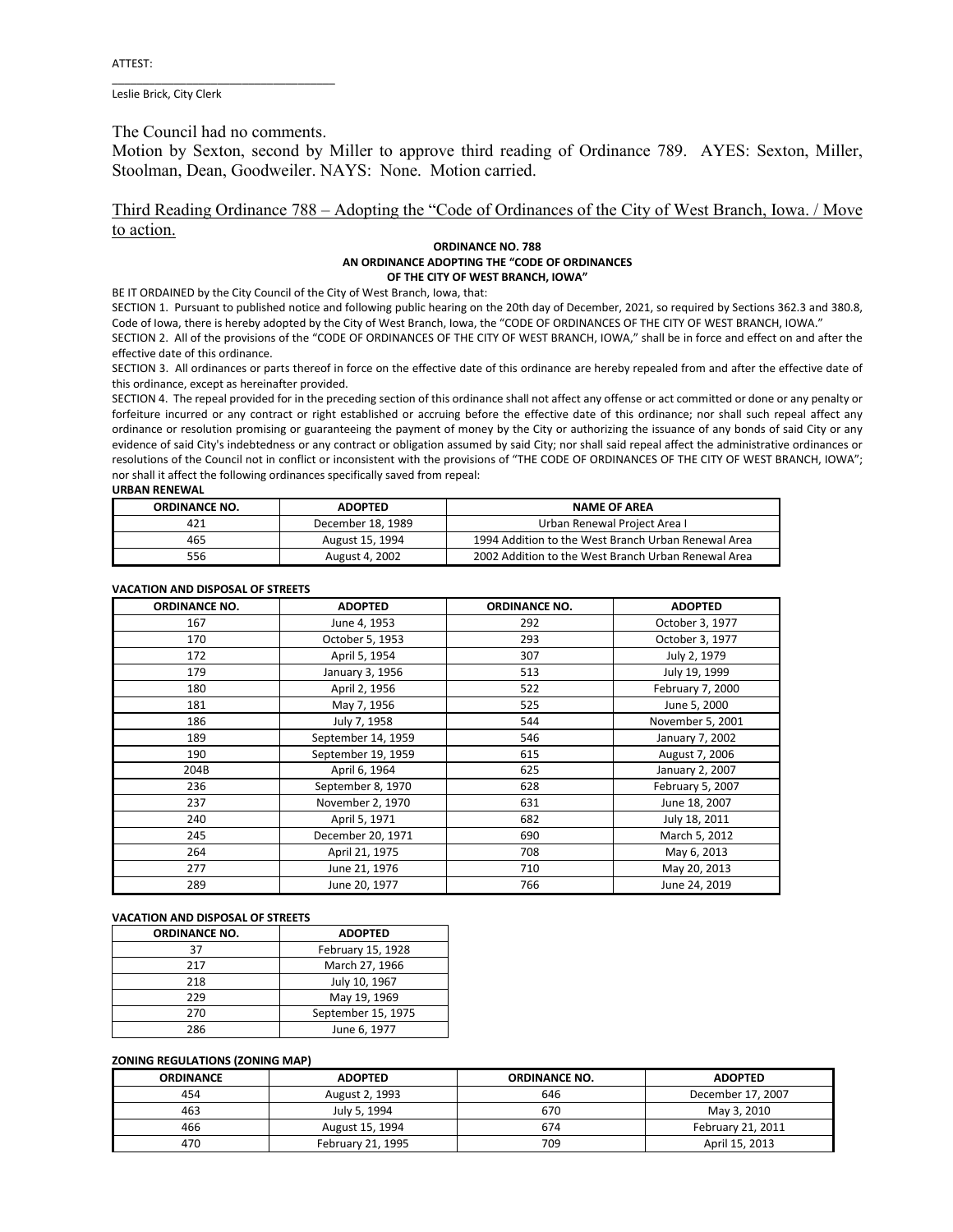Leslie Brick, City Clerk

The Council had no comments.

\_\_\_\_\_\_\_\_\_\_\_\_\_\_\_\_\_\_\_\_\_\_\_\_\_\_\_\_\_\_\_\_\_\_\_\_

Motion by Sexton, second by Miller to approve third reading of Ordinance 789. AYES: Sexton, Miller, Stoolman, Dean, Goodweiler. NAYS: None. Motion carried.

## Third Reading Ordinance 788 – Adopting the "Code of Ordinances of the City of West Branch, Iowa. / Move to action.

#### **ORDINANCE NO. 788 AN ORDINANCE ADOPTING THE "CODE OF ORDINANCES OF THE CITY OF WEST BRANCH, IOWA"**

BE IT ORDAINED by the City Council of the City of West Branch, Iowa, that:

SECTION 1. Pursuant to published notice and following public hearing on the 20th day of December, 2021, so required by Sections 362.3 and 380.8, Code of Iowa, there is hereby adopted by the City of West Branch, Iowa, the "CODE OF ORDINANCES OF THE CITY OF WEST BRANCH, IOWA."

SECTION 2. All of the provisions of the "CODE OF ORDINANCES OF THE CITY OF WEST BRANCH, IOWA," shall be in force and effect on and after the effective date of this ordinance.

SECTION 3. All ordinances or parts thereof in force on the effective date of this ordinance are hereby repealed from and after the effective date of this ordinance, except as hereinafter provided.

SECTION 4. The repeal provided for in the preceding section of this ordinance shall not affect any offense or act committed or done or any penalty or forfeiture incurred or any contract or right established or accruing before the effective date of this ordinance; nor shall such repeal affect any ordinance or resolution promising or guaranteeing the payment of money by the City or authorizing the issuance of any bonds of said City or any evidence of said City's indebtedness or any contract or obligation assumed by said City; nor shall said repeal affect the administrative ordinances or resolutions of the Council not in conflict or inconsistent with the provisions of "THE CODE OF ORDINANCES OF THE CITY OF WEST BRANCH, IOWA"; nor shall it affect the following ordinances specifically saved from repeal:

#### **URBAN RENEWAL**

| <b>ORDINANCE NO.</b> | <b>ADOPTED</b>    | <b>NAME OF AREA</b>                                 |
|----------------------|-------------------|-----------------------------------------------------|
| 421                  | December 18, 1989 | Urban Renewal Project Area I                        |
| 465                  | August 15, 1994   | 1994 Addition to the West Branch Urban Renewal Area |
| 556                  | August 4, 2002    | 2002 Addition to the West Branch Urban Renewal Area |

#### **VACATION AND DISPOSAL OF STREETS**

| <b>ORDINANCE NO.</b> | <b>ADOPTED</b>     | <b>ORDINANCE NO.</b> | <b>ADOPTED</b>   |
|----------------------|--------------------|----------------------|------------------|
| 167                  | June 4, 1953       | 292                  | October 3, 1977  |
| 170                  | October 5, 1953    | 293                  | October 3, 1977  |
| 172                  | April 5, 1954      | 307                  | July 2, 1979     |
| 179                  | January 3, 1956    | 513                  | July 19, 1999    |
| 180                  | April 2, 1956      | 522                  | February 7, 2000 |
| 181                  | May 7, 1956        | 525                  | June 5, 2000     |
| 186                  | July 7, 1958       | 544                  | November 5, 2001 |
| 189                  | September 14, 1959 | 546                  | January 7, 2002  |
| 190                  | September 19, 1959 | 615                  | August 7, 2006   |
| 204B                 | April 6, 1964      | 625                  | January 2, 2007  |
| 236                  | September 8, 1970  | 628                  | February 5, 2007 |
| 237                  | November 2, 1970   | 631                  | June 18, 2007    |
| 240                  | April 5, 1971      | 682                  | July 18, 2011    |
| 245                  | December 20, 1971  | 690                  | March 5, 2012    |
| 264                  | April 21, 1975     | 708                  | May 6, 2013      |
| 277                  | June 21, 1976      | 710                  | May 20, 2013     |
| 289                  | June 20, 1977      | 766                  | June 24, 2019    |

## **VACATION AND DISPOSAL OF STREETS**

| <b>ORDINANCE NO.</b> | <b>ADOPTED</b>     |
|----------------------|--------------------|
| 37                   | February 15, 1928  |
| 217                  | March 27, 1966     |
| 218                  | July 10, 1967      |
| 229                  | May 19, 1969       |
| 270                  | September 15, 1975 |
| 286                  | June 6, 1977       |

## **ZONING REGULATIONS (ZONING MAP)**

| <b>ORDINANCE</b> | <b>ADOPTED</b>    | <b>ORDINANCE NO.</b> | <b>ADOPTED</b>    |
|------------------|-------------------|----------------------|-------------------|
| 454              | August 2, 1993    | 646                  | December 17, 2007 |
| 463              | July 5, 1994      | 670                  | May 3, 2010       |
| 466              | August 15, 1994   | 674                  | February 21, 2011 |
| 470              | February 21, 1995 | 709                  | April 15, 2013    |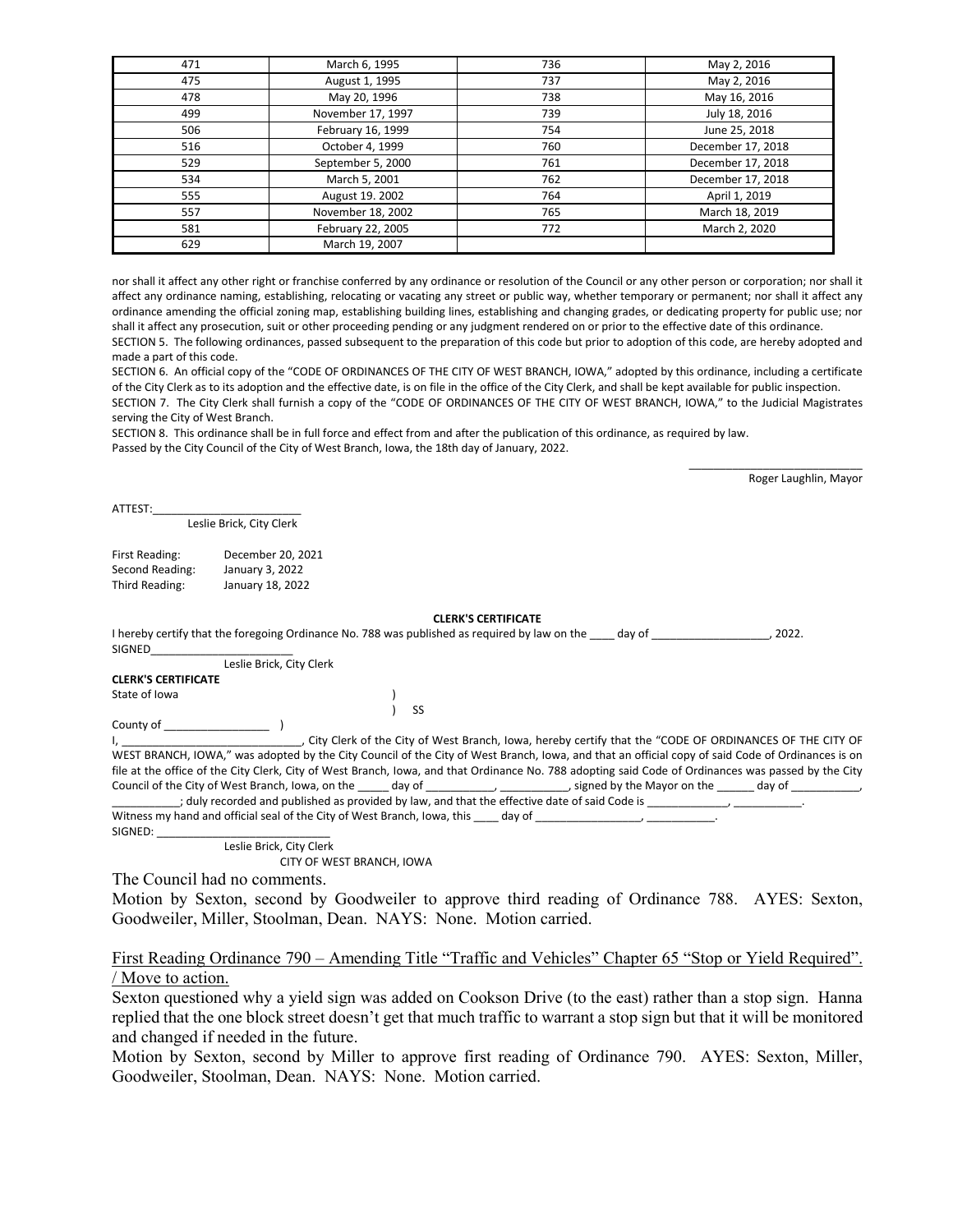| 471 | March 6, 1995     | 736 | May 2, 2016       |
|-----|-------------------|-----|-------------------|
| 475 | August 1, 1995    | 737 | May 2, 2016       |
| 478 | May 20, 1996      | 738 | May 16, 2016      |
| 499 | November 17, 1997 | 739 | July 18, 2016     |
| 506 | February 16, 1999 | 754 | June 25, 2018     |
| 516 | October 4, 1999   | 760 | December 17, 2018 |
| 529 | September 5, 2000 | 761 | December 17, 2018 |
| 534 | March 5, 2001     | 762 | December 17, 2018 |
| 555 | August 19. 2002   | 764 | April 1, 2019     |
| 557 | November 18, 2002 | 765 | March 18, 2019    |
| 581 | February 22, 2005 | 772 | March 2, 2020     |
| 629 | March 19, 2007    |     |                   |

nor shall it affect any other right or franchise conferred by any ordinance or resolution of the Council or any other person or corporation; nor shall it affect any ordinance naming, establishing, relocating or vacating any street or public way, whether temporary or permanent; nor shall it affect any ordinance amending the official zoning map, establishing building lines, establishing and changing grades, or dedicating property for public use; nor shall it affect any prosecution, suit or other proceeding pending or any judgment rendered on or prior to the effective date of this ordinance. SECTION 5. The following ordinances, passed subsequent to the preparation of this code but prior to adoption of this code, are hereby adopted and made a part of this code.

SECTION 6. An official copy of the "CODE OF ORDINANCES OF THE CITY OF WEST BRANCH, IOWA," adopted by this ordinance, including a certificate of the City Clerk as to its adoption and the effective date, is on file in the office of the City Clerk, and shall be kept available for public inspection. SECTION 7. The City Clerk shall furnish a copy of the "CODE OF ORDINANCES OF THE CITY OF WEST BRANCH, IOWA," to the Judicial Magistrates serving the City of West Branch.

SECTION 8. This ordinance shall be in full force and effect from and after the publication of this ordinance, as required by law. Passed by the City Council of the City of West Branch, Iowa, the 18th day of January, 2022.

Roger Laughlin, Mayor

\_\_\_\_\_\_\_\_\_\_\_\_\_\_\_\_\_\_\_\_\_\_\_\_\_\_\_\_

ATTEST:\_\_\_\_\_\_\_\_\_\_\_\_\_\_\_\_\_\_\_\_\_\_\_\_

## Leslie Brick, City Clerk

| First Reading:  | December 20, 2021 |
|-----------------|-------------------|
| Second Reading: | January 3, 2022   |
| Third Reading:  | January 18, 2022  |

#### **CLERK'S CERTIFICATE**

|                            | --------------------                                                                                    |       |
|----------------------------|---------------------------------------------------------------------------------------------------------|-------|
|                            | I hereby certify that the foregoing Ordinance No. 788 was published as required by law on the<br>dav of | 2022. |
| SIGNED                     |                                                                                                         |       |
| Leslie Brick, City Clerk   |                                                                                                         |       |
| <b>CLERK'S CERTIFICATE</b> |                                                                                                         |       |
| State of Iowa              |                                                                                                         |       |
|                            | SS                                                                                                      |       |
| County of                  |                                                                                                         |       |

I, \_\_\_\_\_\_\_\_\_\_\_\_\_\_\_\_\_\_\_\_\_\_\_\_\_\_\_\_\_, City Clerk of the City of West Branch, Iowa, hereby certify that the "CODE OF ORDINANCES OF THE CITY OF WEST BRANCH, IOWA," was adopted by the City Council of the City of West Branch, Iowa, and that an official copy of said Code of Ordinances is on file at the office of the City Clerk, City of West Branch, Iowa, and that Ordinance No. 788 adopting said Code of Ordinances was passed by the City Council of the City of West Branch, Iowa, on the \_\_\_\_\_ day of \_\_\_\_\_\_\_\_\_\_\_, \_\_\_\_\_\_\_\_\_\_, signed by the Mayor on the \_\_\_\_\_\_\_ day of \_\_\_

; duly recorded and published as provided by law, and that the effective date of said Code is Witness my hand and official seal of the City of West Branch, Iowa, this \_\_\_\_\_ day of \_\_\_  $SIGNFD:$ 

Leslie Brick, City Clerk

CITY OF WEST BRANCH, IOWA

The Council had no comments.

Motion by Sexton, second by Goodweiler to approve third reading of Ordinance 788. AYES: Sexton, Goodweiler, Miller, Stoolman, Dean. NAYS: None. Motion carried.

# First Reading Ordinance 790 – Amending Title "Traffic and Vehicles" Chapter 65 "Stop or Yield Required". / Move to action.

Sexton questioned why a yield sign was added on Cookson Drive (to the east) rather than a stop sign. Hanna replied that the one block street doesn't get that much traffic to warrant a stop sign but that it will be monitored and changed if needed in the future.

Motion by Sexton, second by Miller to approve first reading of Ordinance 790. AYES: Sexton, Miller, Goodweiler, Stoolman, Dean. NAYS: None. Motion carried.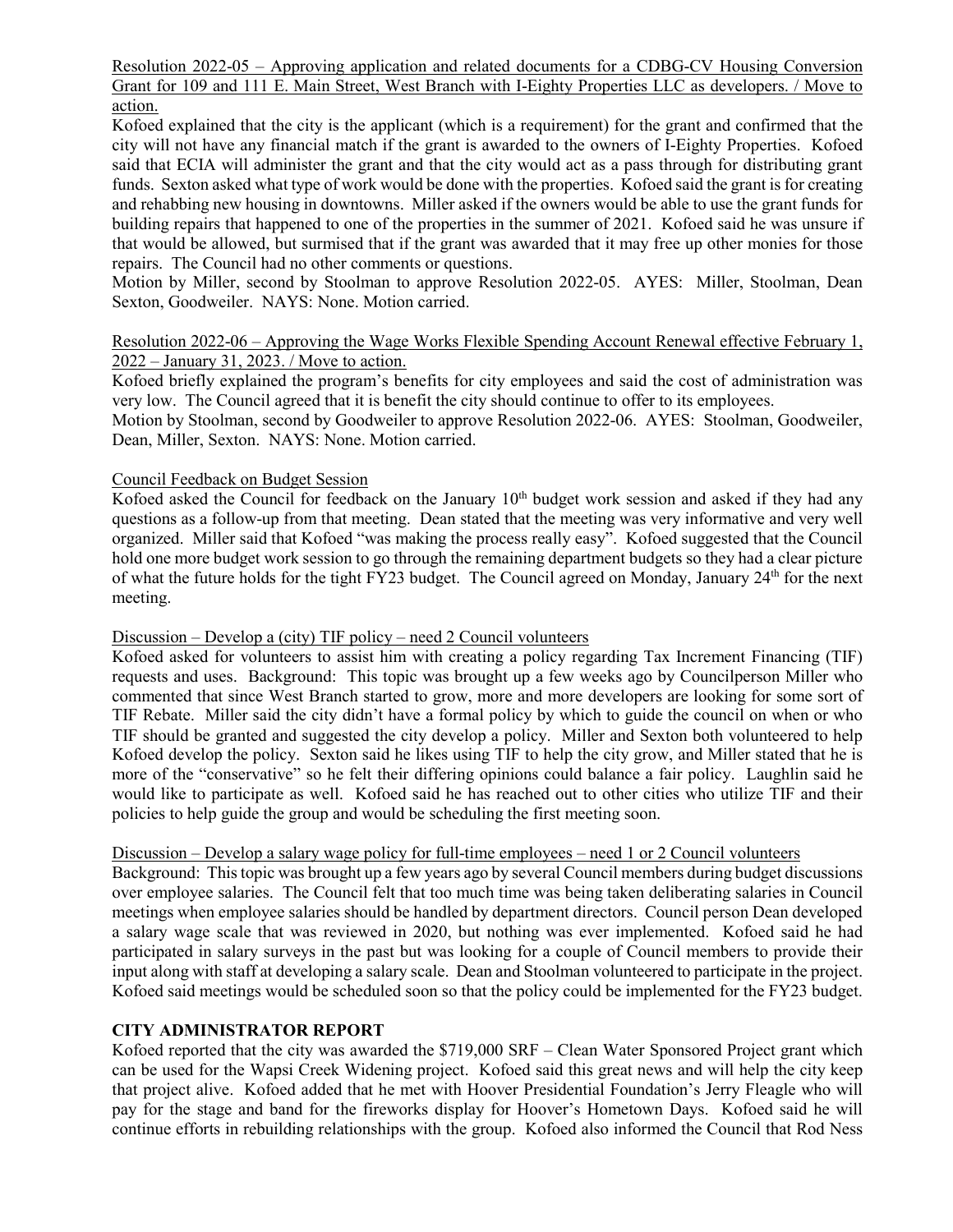Resolution 2022-05 – Approving application and related documents for a CDBG-CV Housing Conversion Grant for 109 and 111 E. Main Street, West Branch with I-Eighty Properties LLC as developers. / Move to action.

Kofoed explained that the city is the applicant (which is a requirement) for the grant and confirmed that the city will not have any financial match if the grant is awarded to the owners of I-Eighty Properties. Kofoed said that ECIA will administer the grant and that the city would act as a pass through for distributing grant funds. Sexton asked what type of work would be done with the properties. Kofoed said the grant is for creating and rehabbing new housing in downtowns. Miller asked if the owners would be able to use the grant funds for building repairs that happened to one of the properties in the summer of 2021. Kofoed said he was unsure if that would be allowed, but surmised that if the grant was awarded that it may free up other monies for those repairs. The Council had no other comments or questions.

Motion by Miller, second by Stoolman to approve Resolution 2022-05. AYES: Miller, Stoolman, Dean Sexton, Goodweiler. NAYS: None. Motion carried.

# Resolution 2022-06 – Approving the Wage Works Flexible Spending Account Renewal effective February 1, 2022 – January 31, 2023. / Move to action.

Kofoed briefly explained the program's benefits for city employees and said the cost of administration was very low. The Council agreed that it is benefit the city should continue to offer to its employees.

Motion by Stoolman, second by Goodweiler to approve Resolution 2022-06. AYES: Stoolman, Goodweiler, Dean, Miller, Sexton. NAYS: None. Motion carried.

# Council Feedback on Budget Session

Kofoed asked the Council for feedback on the January 10<sup>th</sup> budget work session and asked if they had any questions as a follow-up from that meeting. Dean stated that the meeting was very informative and very well organized. Miller said that Kofoed "was making the process really easy". Kofoed suggested that the Council hold one more budget work session to go through the remaining department budgets so they had a clear picture of what the future holds for the tight FY23 budget. The Council agreed on Monday, January 24th for the next meeting.

## Discussion – Develop a (city) TIF policy – need 2 Council volunteers

Kofoed asked for volunteers to assist him with creating a policy regarding Tax Increment Financing (TIF) requests and uses. Background: This topic was brought up a few weeks ago by Councilperson Miller who commented that since West Branch started to grow, more and more developers are looking for some sort of TIF Rebate. Miller said the city didn't have a formal policy by which to guide the council on when or who TIF should be granted and suggested the city develop a policy. Miller and Sexton both volunteered to help Kofoed develop the policy. Sexton said he likes using TIF to help the city grow, and Miller stated that he is more of the "conservative" so he felt their differing opinions could balance a fair policy. Laughlin said he would like to participate as well. Kofoed said he has reached out to other cities who utilize TIF and their policies to help guide the group and would be scheduling the first meeting soon.

## Discussion – Develop a salary wage policy for full-time employees – need 1 or 2 Council volunteers

Background: This topic was brought up a few years ago by several Council members during budget discussions over employee salaries. The Council felt that too much time was being taken deliberating salaries in Council meetings when employee salaries should be handled by department directors. Council person Dean developed a salary wage scale that was reviewed in 2020, but nothing was ever implemented. Kofoed said he had participated in salary surveys in the past but was looking for a couple of Council members to provide their input along with staff at developing a salary scale. Dean and Stoolman volunteered to participate in the project. Kofoed said meetings would be scheduled soon so that the policy could be implemented for the FY23 budget.

# **CITY ADMINISTRATOR REPORT**

Kofoed reported that the city was awarded the \$719,000 SRF – Clean Water Sponsored Project grant which can be used for the Wapsi Creek Widening project. Kofoed said this great news and will help the city keep that project alive. Kofoed added that he met with Hoover Presidential Foundation's Jerry Fleagle who will pay for the stage and band for the fireworks display for Hoover's Hometown Days. Kofoed said he will continue efforts in rebuilding relationships with the group. Kofoed also informed the Council that Rod Ness